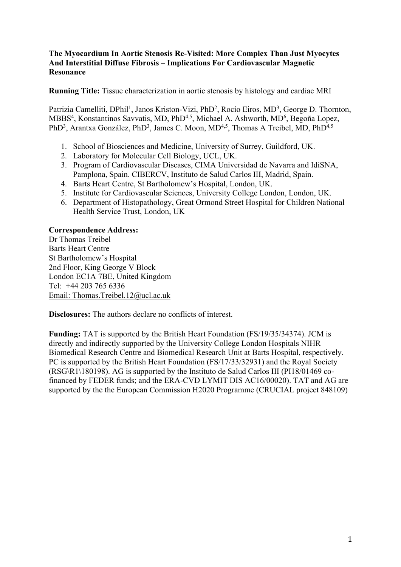### **The Myocardium In Aortic Stenosis Re-Visited: More Complex Than Just Myocytes And Interstitial Diffuse Fibrosis – Implications For Cardiovascular Magnetic Resonance**

**Running Title:** Tissue characterization in aortic stenosis by histology and cardiac MRI

Patrizia Camelliti, DPhil<sup>1</sup>, Janos Kriston-Vizi, PhD<sup>2</sup>, Rocío Eiros, MD<sup>3</sup>, George D. Thornton, MBBS<sup>4</sup>, Konstantinos Savvatis, MD, PhD<sup>4,5</sup>, Michael A. Ashworth, MD<sup>6</sup>, Begoña Lopez, PhD<sup>3</sup>, Arantxa González, PhD<sup>3</sup>, James C. Moon, MD<sup>4,5</sup>, Thomas A Treibel, MD, PhD<sup>4,5</sup>

- 1. School of Biosciences and Medicine, University of Surrey, Guildford, UK.
- 2. Laboratory for Molecular Cell Biology, UCL, UK.
- 3. Program of Cardiovascular Diseases, CIMA Universidad de Navarra and IdiSNA, Pamplona, Spain. CIBERCV, Instituto de Salud Carlos III, Madrid, Spain.
- 4. Barts Heart Centre, St Bartholomew's Hospital, London, UK.
- 5. Institute for Cardiovascular Sciences, University College London, London, UK.
- 6. Department of Histopathology, Great Ormond Street Hospital for Children National Health Service Trust, London, UK

### **Correspondence Address:**

Dr Thomas Treibel Barts Heart Centre St Bartholomew's Hospital 2nd Floor, King George V Block London EC1A 7BE, United Kingdom Tel: +44 203 765 6336 Email: Thomas.Treibel.12@ucl.ac.uk

**Disclosures:** The authors declare no conflicts of interest.

**Funding:** TAT is supported by the British Heart Foundation (FS/19/35/34374). JCM is directly and indirectly supported by the University College London Hospitals NIHR Biomedical Research Centre and Biomedical Research Unit at Barts Hospital, respectively. PC is supported by the British Heart Foundation (FS/17/33/32931) and the Royal Society (RSG\R1\180198). AG is supported by the Instituto de Salud Carlos III (PI18/01469 cofinanced by FEDER funds; and the ERA-CVD LYMIT DIS AC16/00020). TAT and AG are supported by the the European Commission H2020 Programme (CRUCIAL project 848109)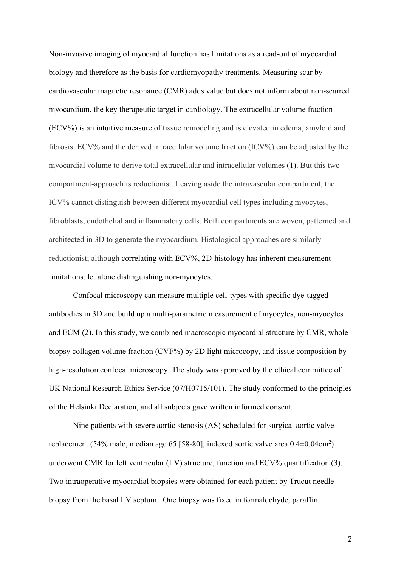Non-invasive imaging of myocardial function has limitations as a read-out of myocardial biology and therefore as the basis for cardiomyopathy treatments. Measuring scar by cardiovascular magnetic resonance (CMR) adds value but does not inform about non-scarred myocardium, the key therapeutic target in cardiology. The extracellular volume fraction (ECV%) is an intuitive measure of tissue remodeling and is elevated in edema, amyloid and fibrosis. ECV% and the derived intracellular volume fraction (ICV%) can be adjusted by the myocardial volume to derive total extracellular and intracellular volumes (1). But this twocompartment-approach is reductionist. Leaving aside the intravascular compartment, the ICV% cannot distinguish between different myocardial cell types including myocytes, fibroblasts, endothelial and inflammatory cells. Both compartments are woven, patterned and architected in 3D to generate the myocardium. Histological approaches are similarly reductionist; although correlating with ECV%, 2D-histology has inherent measurement limitations, let alone distinguishing non-myocytes.

Confocal microscopy can measure multiple cell-types with specific dye-tagged antibodies in 3D and build up a multi-parametric measurement of myocytes, non-myocytes and ECM (2). In this study, we combined macroscopic myocardial structure by CMR, whole biopsy collagen volume fraction (CVF%) by 2D light microcopy, and tissue composition by high-resolution confocal microscopy. The study was approved by the ethical committee of UK National Research Ethics Service (07/H0715/101). The study conformed to the principles of the Helsinki Declaration, and all subjects gave written informed consent.

Nine patients with severe aortic stenosis (AS) scheduled for surgical aortic valve replacement (54% male, median age 65 [58-80], indexed aortic valve area 0.4 $\pm$ 0.04cm<sup>2</sup>) underwent CMR for left ventricular (LV) structure, function and ECV% quantification (3). Two intraoperative myocardial biopsies were obtained for each patient by Trucut needle biopsy from the basal LV septum. One biopsy was fixed in formaldehyde, paraffin

2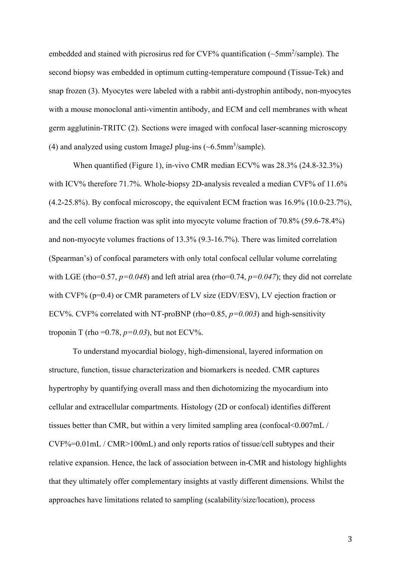embedded and stained with picrosirus red for CVF% quantification (~5mm<sup>2</sup>/sample). The second biopsy was embedded in optimum cutting-temperature compound (Tissue-Tek) and snap frozen (3). Myocytes were labeled with a rabbit anti-dystrophin antibody, non-myocytes with a mouse monoclonal anti-vimentin antibody, and ECM and cell membranes with wheat germ agglutinin-TRITC (2). Sections were imaged with confocal laser-scanning microscopy (4) and analyzed using custom ImageJ plug-ins  $({\sim}6.5$ mm<sup>3</sup>/sample).

When quantified (Figure 1), in-vivo CMR median ECV% was 28.3% (24.8-32.3%) with ICV% therefore 71.7%. Whole-biopsy 2D-analysis revealed a median CVF% of 11.6% (4.2-25.8%). By confocal microscopy, the equivalent ECM fraction was 16.9% (10.0-23.7%), and the cell volume fraction was split into myocyte volume fraction of 70.8% (59.6-78.4%) and non-myocyte volumes fractions of 13.3% (9.3-16.7%). There was limited correlation (Spearman's) of confocal parameters with only total confocal cellular volume correlating with LGE (rho=0.57,  $p=0.048$ ) and left atrial area (rho=0.74,  $p=0.047$ ); they did not correlate with CVF% (p=0.4) or CMR parameters of LV size (EDV/ESV), LV ejection fraction or ECV%. CVF% correlated with NT-proBNP (rho=0.85,  $p=0.003$ ) and high-sensitivity troponin T (rho =  $0.78$ ,  $p=0.03$ ), but not ECV%.

To understand myocardial biology, high-dimensional, layered information on structure, function, tissue characterization and biomarkers is needed. CMR captures hypertrophy by quantifying overall mass and then dichotomizing the myocardium into cellular and extracellular compartments. Histology (2D or confocal) identifies different tissues better than CMR, but within a very limited sampling area (confocal<0.007mL /  $CVF% = 0.01$  mL / CMR > 100 mL) and only reports ratios of tissue/cell subtypes and their relative expansion. Hence, the lack of association between in-CMR and histology highlights that they ultimately offer complementary insights at vastly different dimensions. Whilst the approaches have limitations related to sampling (scalability/size/location), process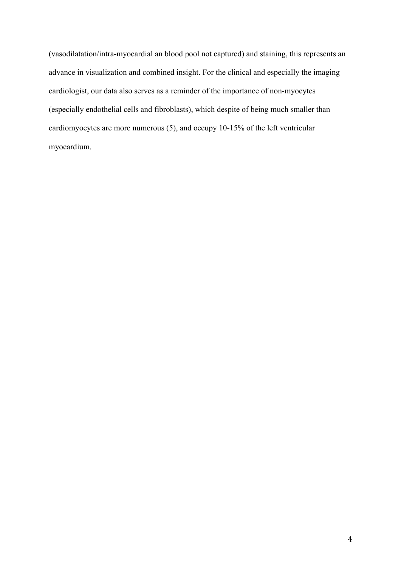(vasodilatation/intra-myocardial an blood pool not captured) and staining, this represents an advance in visualization and combined insight. For the clinical and especially the imaging cardiologist, our data also serves as a reminder of the importance of non-myocytes (especially endothelial cells and fibroblasts), which despite of being much smaller than cardiomyocytes are more numerous (5), and occupy 10-15% of the left ventricular myocardium.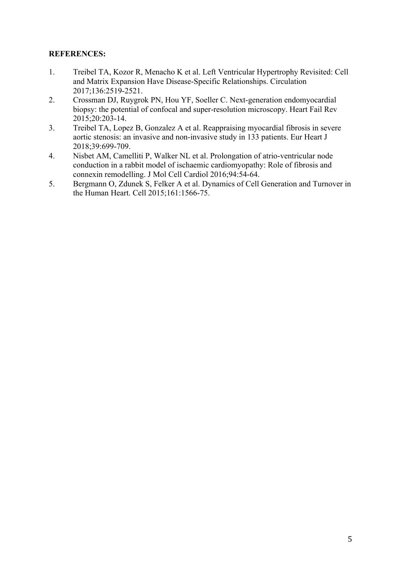## **REFERENCES:**

- 1. Treibel TA, Kozor R, Menacho K et al. Left Ventricular Hypertrophy Revisited: Cell and Matrix Expansion Have Disease-Specific Relationships. Circulation 2017;136:2519-2521.
- 2. Crossman DJ, Ruygrok PN, Hou YF, Soeller C. Next-generation endomyocardial biopsy: the potential of confocal and super-resolution microscopy. Heart Fail Rev 2015;20:203-14.
- 3. Treibel TA, Lopez B, Gonzalez A et al. Reappraising myocardial fibrosis in severe aortic stenosis: an invasive and non-invasive study in 133 patients. Eur Heart J 2018;39:699-709.
- 4. Nisbet AM, Camelliti P, Walker NL et al. Prolongation of atrio-ventricular node conduction in a rabbit model of ischaemic cardiomyopathy: Role of fibrosis and connexin remodelling. J Mol Cell Cardiol 2016;94:54-64.
- 5. Bergmann O, Zdunek S, Felker A et al. Dynamics of Cell Generation and Turnover in the Human Heart. Cell 2015;161:1566-75.